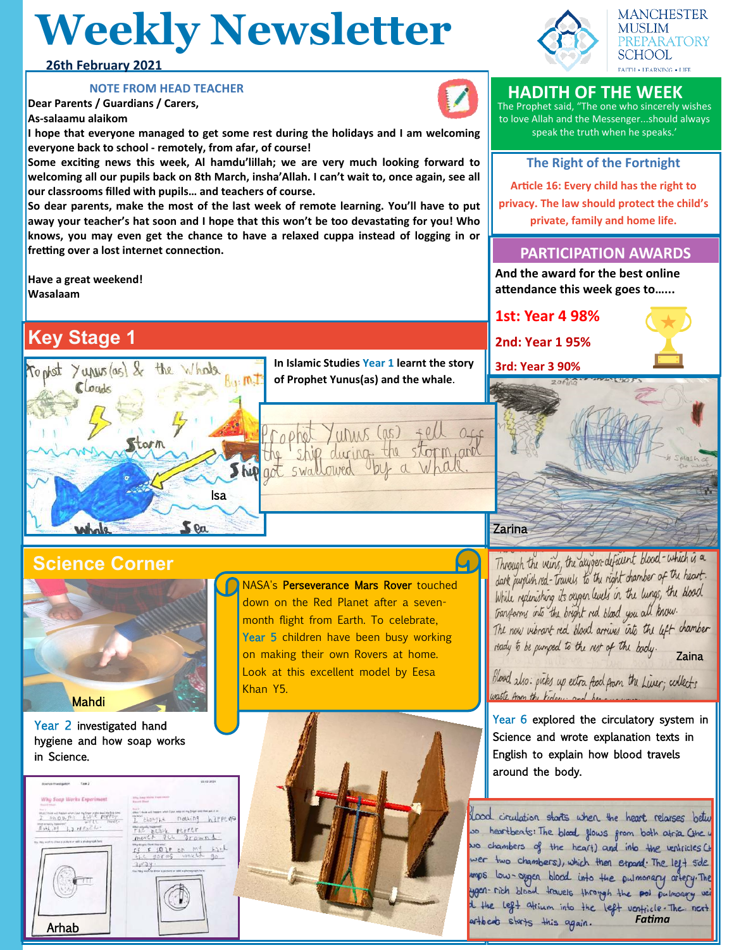## **Weekly Newsletter**

#### **26th February 2021**

#### **NOTE FROM HEAD TEACHER**

**Dear Parents / Guardians / Carers, As-salaamu alaikom**

**I hope that everyone managed to get some rest during the holidays and I am welcoming everyone back to school - remotely, from afar, of course!**

**Some exciting news this week, Al hamdu'lillah; we are very much looking forward to welcoming all our pupils back on 8th March, insha'Allah. I can't wait to, once again, see all our classrooms filled with pupils… and teachers of course.** 

**So dear parents, make the most of the last week of remote learning. You'll have to put away your teacher's hat soon and I hope that this won't be too devastating for you! Who knows, you may even get the chance to have a relaxed cuppa instead of logging in or fretting over a lost internet connection.** 

**Have a great weekend! Wasalaam**

## **Key Stage 1**



**In Islamic Studies Year 1 learnt the story of Prophet Yunus(as) and the whale**.

urins

## **Science Corner**



Year 2 investigated hand hygiene and how soap works in Science.

| <b>Boenja Investigation</b><br>Task 2                                                                                                                                                                                                                                                                 | T2 12 2121                                                                                                                                                                                                                                                                                                                                                          |
|-------------------------------------------------------------------------------------------------------------------------------------------------------------------------------------------------------------------------------------------------------------------------------------------------------|---------------------------------------------------------------------------------------------------------------------------------------------------------------------------------------------------------------------------------------------------------------------------------------------------------------------------------------------------------------------|
| Why Soap Works Experiment<br><b>Similar Education</b><br><b>Service</b><br>T bhou fit was a the common the common the common the common the common the property<br>Inter actually hopested<br>$N_2 + N_1 N_1 N_2 + R_2 N_1 N_2$<br>the ring with to drive a policy or sell a photograph bett<br>Arhab | tring dange trining disposanced<br>Equal 25415<br>Tur 2<br>When I show will happen when I put wear on my finger and then put it on<br>ite brail<br>nothing hipper<br>EADMY LE<br>THE BLOCK PETTER<br>moved it grownd.<br>intry are good third that who's<br>If I SO IT ON MY<br>the gorms would<br>31124<br>For Philadelphia a Man w anchor or with a children used |

NASA's Perseverance Mars Rover touched down on the Red Planet after a sevenmonth flight from Earth. To celebrate, Year 5 children have been busy working on making their own Rovers at home. Look at this excellent model by Eesa Khan Y5.







**HADITH OF THE WEEK** The Prophet said, "The one who sincerely wishes

to love Allah and the Messenger...should always speak the truth when he speaks.'

### **The Right of the Fortnight**

**Article 16: Every child has the right to privacy. The law should protect the child's private, family and home life.**

### **PARTICIPATION AWARDS**

**And the award for the best online attendance this week goes to…...**





Through the veins, the axyger deficient blood-which is a dark puplish red-Travels to the right chamber of the heart. While redenishing its orygen levels in the lungs, the blood transforms into the bright red blood you all know. The now vibrant red blood arrives into the left chamber ready to be pumped to the nest of the body. Zaina

Blood also: picks up extra food from the Liver; collects waste from the kidney. and bea

Year 6 explored the circulatory system in Science and wrote explanation texts in English to explain how blood travels around the body.

lood circulation starts when the heart relarses betw wo heartbeats: The black flows from both atria Cthe u wo chambers of the heart) and into the ventricles Ct wer two chambers), which then etpand. The left side mps low-agger blood into the pulmonary artery. The your-rich blood travels through the not pulmonary vei *i* the left attium into the left ventile. The next artheat starts this again.